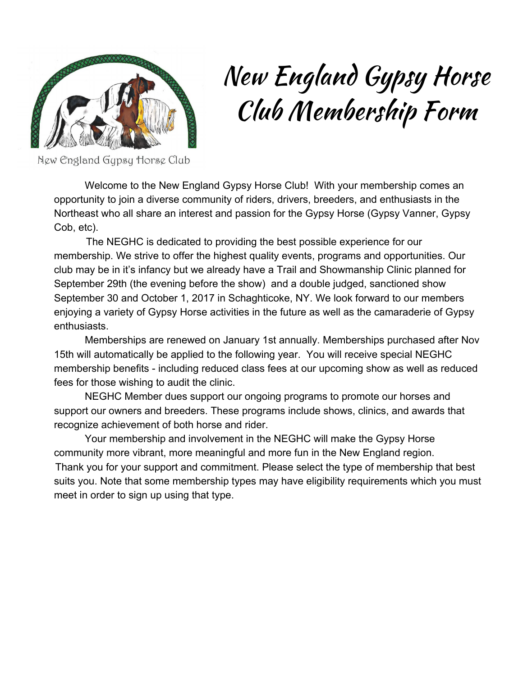

## New England Gypsy Horse Club Membership Form

New England Gypsy Horse Club

Welcome to the New England Gypsy Horse Club! With your membership comes an opportunity to join a diverse community of riders, drivers, breeders, and enthusiasts in the Northeast who all share an interest and passion for the Gypsy Horse (Gypsy Vanner, Gypsy Cob, etc).

The NEGHC is dedicated to providing the best possible experience for our membership. We strive to offer the highest quality events, programs and opportunities. Our club may be in it's infancy but we already have a Trail and Showmanship Clinic planned for September 29th (the evening before the show) and a double judged, sanctioned show September 30 and October 1, 2017 in Schaghticoke, NY. We look forward to our members enjoying a variety of Gypsy Horse activities in the future as well as the camaraderie of Gypsy enthusiasts.

Memberships are renewed on January 1st annually. Memberships purchased after Nov 15th will automatically be applied to the following year. You will receive special NEGHC membership benefits - including reduced class fees at our upcoming show as well as reduced fees for those wishing to audit the clinic.

NEGHC Member dues support our ongoing programs to promote our horses and support our owners and breeders. These programs include shows, clinics, and awards that recognize achievement of both horse and rider.

Your membership and involvement in the NEGHC will make the Gypsy Horse community more vibrant, more meaningful and more fun in the New England region. Thank you for your support and commitment. Please select the type of membership that best suits you. Note that some membership types may have eligibility requirements which you must meet in order to sign up using that type.